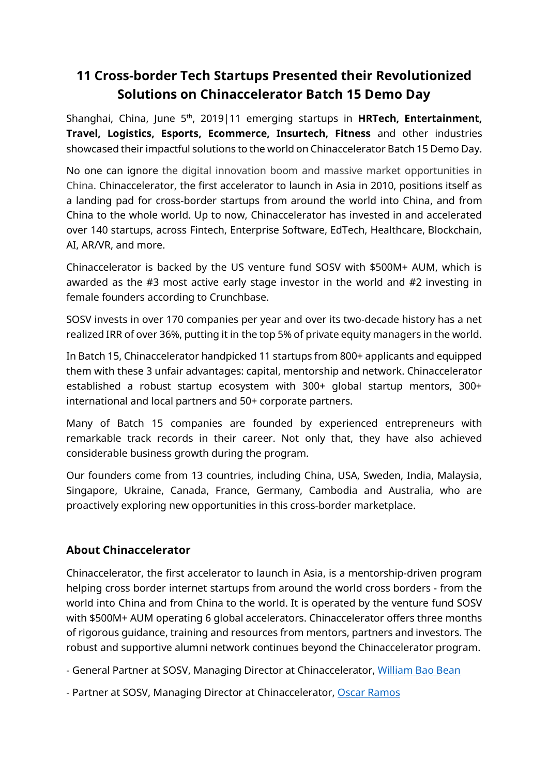# **11 Cross-border Tech Startups Presented their Revolutionized Solutions on Chinaccelerator Batch 15 Demo Day**

Shanghai, China, June 5<sup>th</sup>, 2019|11 emerging startups in **HRTech, Entertainment, Travel, Logistics, Esports, Ecommerce, Insurtech, Fitness** and other industries showcased their impactful solutions to the world on Chinaccelerator Batch 15 Demo Day.

No one can ignore the digital innovation boom and massive market opportunities in China. Chinaccelerator, the first accelerator to launch in Asia in 2010, positions itself as a landing pad for cross-border startups from around the world into China, and from China to the whole world. Up to now, Chinaccelerator has invested in and accelerated over 140 startups, across Fintech, Enterprise Software, EdTech, Healthcare, Blockchain, AI, AR/VR, and more.

Chinaccelerator is backed by the US venture fund SOSV with \$500M+ AUM, which is awarded as the #3 most active early stage investor in the world and #2 investing in female founders according to Crunchbase.

SOSV invests in over 170 companies per year and over its two-decade history has a net realized IRR of over 36%, putting it in the top 5% of private equity managers in the world.

In Batch 15, Chinaccelerator handpicked 11 startups from 800+ applicants and equipped them with these 3 unfair advantages: capital, mentorship and network. Chinaccelerator established a robust startup ecosystem with 300+ global startup mentors, 300+ international and local partners and 50+ corporate partners.

Many of Batch 15 companies are founded by experienced entrepreneurs with remarkable track records in their career. Not only that, they have also achieved considerable business growth during the program.

Our founders come from 13 countries, including China, USA, Sweden, India, Malaysia, Singapore, Ukraine, Canada, France, Germany, Cambodia and Australia, who are proactively exploring new opportunities in this cross-border marketplace.

#### **About Chinaccelerator**

Chinaccelerator, the first accelerator to launch in Asia, is a mentorship-driven program helping cross border internet startups from around the world cross borders - from the world into China and from China to the world. It is operated by the venture fund SOSV with \$500M+ AUM operating 6 global accelerators. Chinaccelerator offers three months of rigorous guidance, training and resources from mentors, partners and investors. The robust and supportive alumni network continues beyond the Chinaccelerator program.

- General Partner at SOSV, Managing Director at Chinaccelerator, William Bao Bean

- Partner at SOSV, Managing Director at Chinaccelerator, Oscar Ramos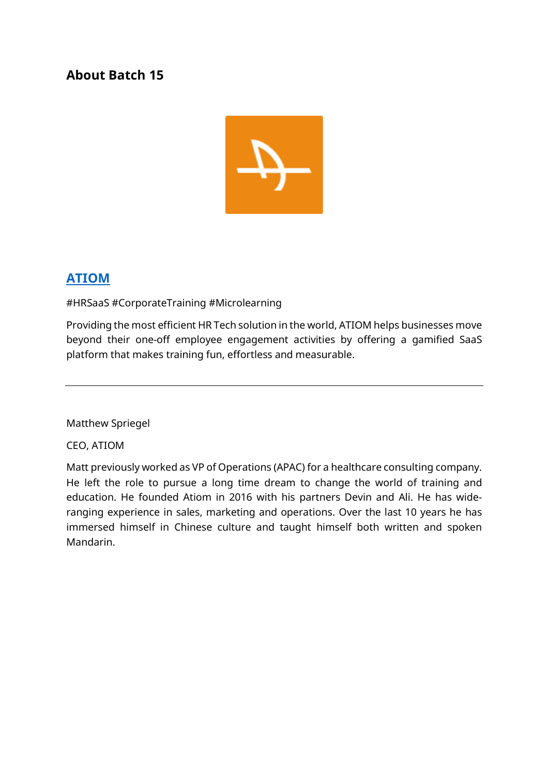#### **About Batch 15**



## **ATIOM**

#HRSaaS #CorporateTraining #Microlearning

Providing the most efficient HR Tech solution in the world, ATIOM helps businesses move beyond their one-off employee engagement activities by offering a gamified SaaS platform that makes training fun, effortless and measurable.

Matthew Spriegel

CEO, ATIOM

Matt previously worked as VP of Operations (APAC) for a healthcare consulting company. He left the role to pursue a long time dream to change the world of training and education. He founded Atiom in 2016 with his partners Devin and Ali. He has wideranging experience in sales, marketing and operations. Over the last 10 years he has immersed himself in Chinese culture and taught himself both written and spoken Mandarin.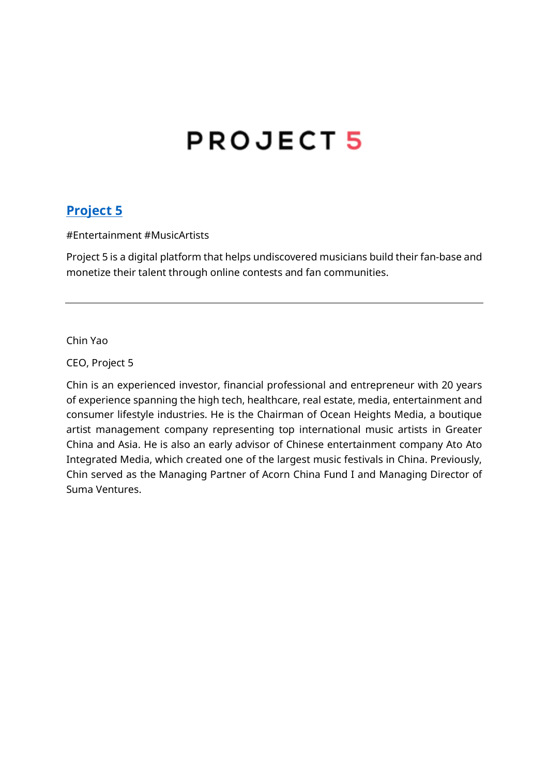# **PROJECT5**

#### **Project 5**

#Entertainment #MusicArtists

Project 5 is a digital platform that helps undiscovered musicians build their fan-base and monetize their talent through online contests and fan communities.

Chin Yao

CEO, Project 5

Chin is an experienced investor, financial professional and entrepreneur with 20 years of experience spanning the high tech, healthcare, real estate, media, entertainment and consumer lifestyle industries. He is the Chairman of Ocean Heights Media, a boutique artist management company representing top international music artists in Greater China and Asia. He is also an early advisor of Chinese entertainment company Ato Ato Integrated Media, which created one of the largest music festivals in China. Previously, Chin served as the Managing Partner of Acorn China Fund I and Managing Director of Suma Ventures.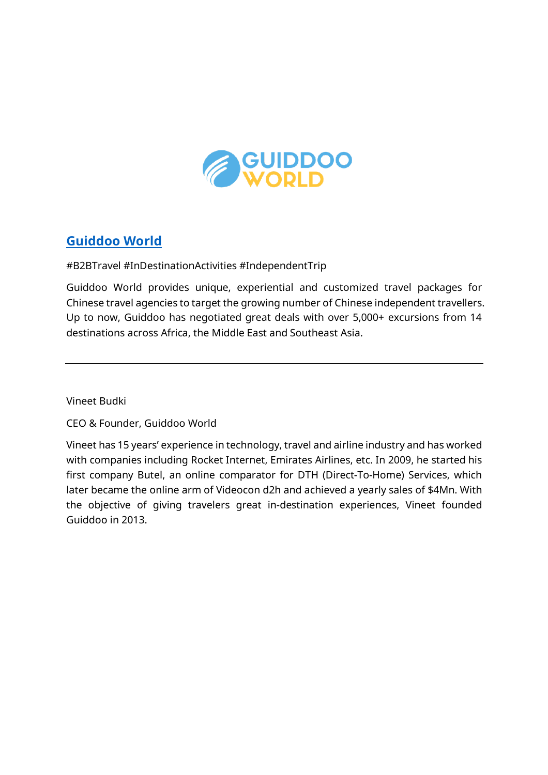

## **Guiddoo World**

#B2BTravel #InDestinationActivities #IndependentTrip

Guiddoo World provides unique, experiential and customized travel packages for Chinese travel agencies to target the growing number of Chinese independent travellers. Up to now, Guiddoo has negotiated great deals with over 5,000+ excursions from 14 destinations across Africa, the Middle East and Southeast Asia.

Vineet Budki

CEO & Founder, Guiddoo World

Vineet has 15 years' experience in technology, travel and airline industry and has worked with companies including Rocket Internet, Emirates Airlines, etc. In 2009, he started his first company Butel, an online comparator for DTH (Direct-To-Home) Services, which later became the online arm of Videocon d2h and achieved a yearly sales of \$4Mn. With the objective of giving travelers great in-destination experiences, Vineet founded Guiddoo in 2013.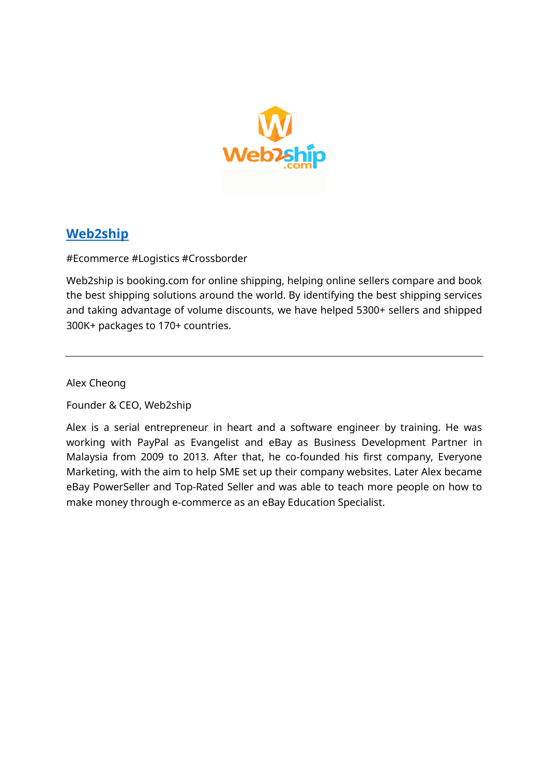

## **Web2ship**

#Ecommerce #Logistics #Crossborder

Web2ship is booking.com for online shipping, helping online sellers compare and book the best shipping solutions around the world. By identifying the best shipping services and taking advantage of volume discounts, we have helped 5300+ sellers and shipped 300K+ packages to 170+ countries.

Alex Cheong

Founder & CEO, Web2ship

Alex is a serial entrepreneur in heart and a software engineer by training. He was working with PayPal as Evangelist and eBay as Business Development Partner in Malaysia from 2009 to 2013. After that, he co-founded his first company, Everyone Marketing, with the aim to help SME set up their company websites. Later Alex became eBay PowerSeller and Top-Rated Seller and was able to teach more people on how to make money through e-commerce as an eBay Education Specialist.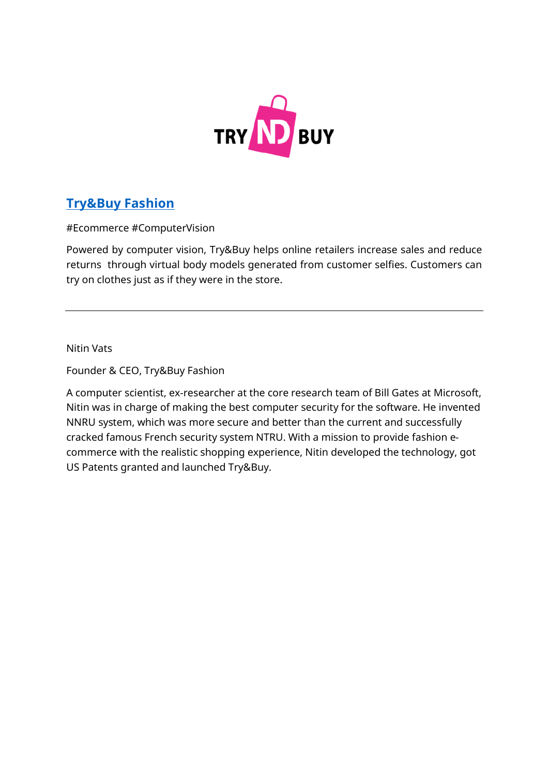

# **Try&Buy Fashion**

#Ecommerce #ComputerVision

Powered by computer vision, Try&Buy helps online retailers increase sales and reduce returns through virtual body models generated from customer selfies. Customers can try on clothes just as if they were in the store.

Nitin Vats

Founder & CEO, Try&Buy Fashion

A computer scientist, ex-researcher at the core research team of Bill Gates at Microsoft, Nitin was in charge of making the best computer security for the software. He invented NNRU system, which was more secure and better than the current and successfully cracked famous French security system NTRU. With a mission to provide fashion ecommerce with the realistic shopping experience, Nitin developed the technology, got US Patents granted and launched Try&Buy.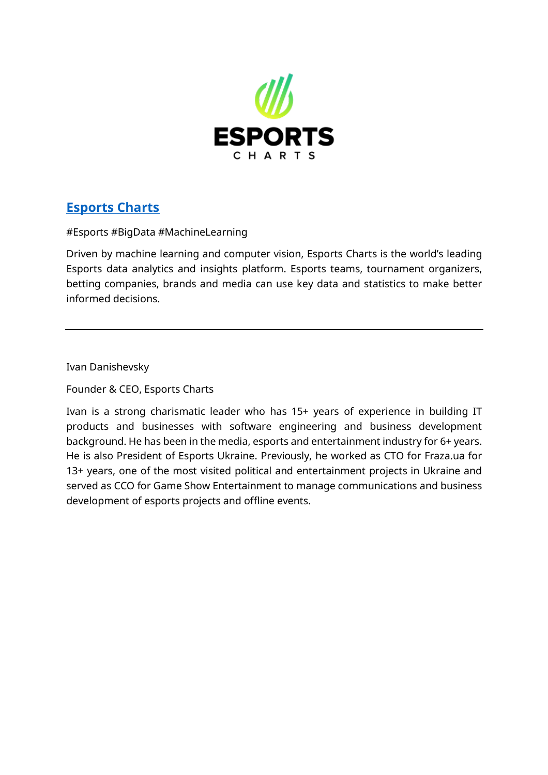

# **Esports Charts**

#Esports #BigData #MachineLearning

Driven by machine learning and computer vision, Esports Charts is the world's leading Esports data analytics and insights platform. Esports teams, tournament organizers, betting companies, brands and media can use key data and statistics to make better informed decisions.

Ivan Danishevsky

Founder & CEO, Esports Charts

Ivan is a strong charismatic leader who has 15+ years of experience in building IT products and businesses with software engineering and business development background. He has been in the media, esports and entertainment industry for 6+ years. He is also President of Esports Ukraine. Previously, he worked as CTO for Fraza.ua for 13+ years, one of the most visited political and entertainment projects in Ukraine and served as CCO for Game Show Entertainment to manage communications and business development of esports projects and offline events.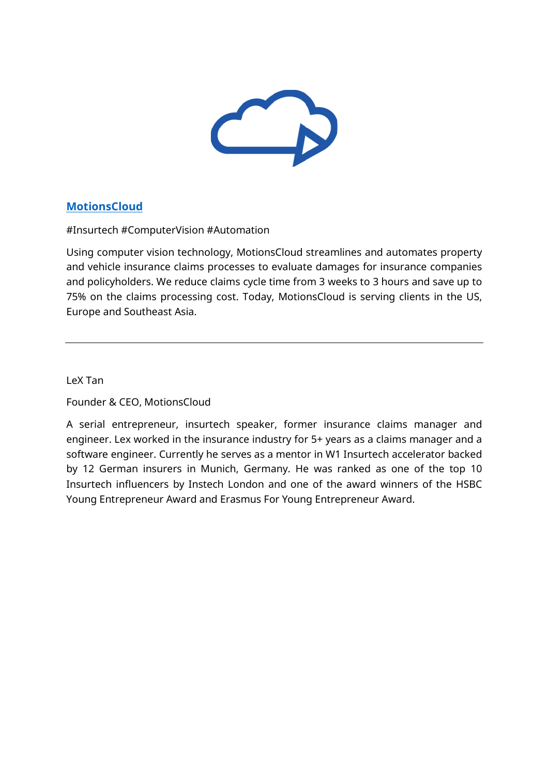

#### **MotionsCloud**

#Insurtech #ComputerVision #Automation

Using computer vision technology, MotionsCloud streamlines and automates property and vehicle insurance claims processes to evaluate damages for insurance companies and policyholders. We reduce claims cycle time from 3 weeks to 3 hours and save up to 75% on the claims processing cost. Today, MotionsCloud is serving clients in the US, Europe and Southeast Asia.

LeX Tan

Founder & CEO, MotionsCloud

A serial entrepreneur, insurtech speaker, former insurance claims manager and engineer. Lex worked in the insurance industry for 5+ years as a claims manager and a software engineer. Currently he serves as a mentor in W1 Insurtech accelerator backed by 12 German insurers in Munich, Germany. He was ranked as one of the top 10 Insurtech influencers by Instech London and one of the award winners of the HSBC Young Entrepreneur Award and Erasmus For Young Entrepreneur Award.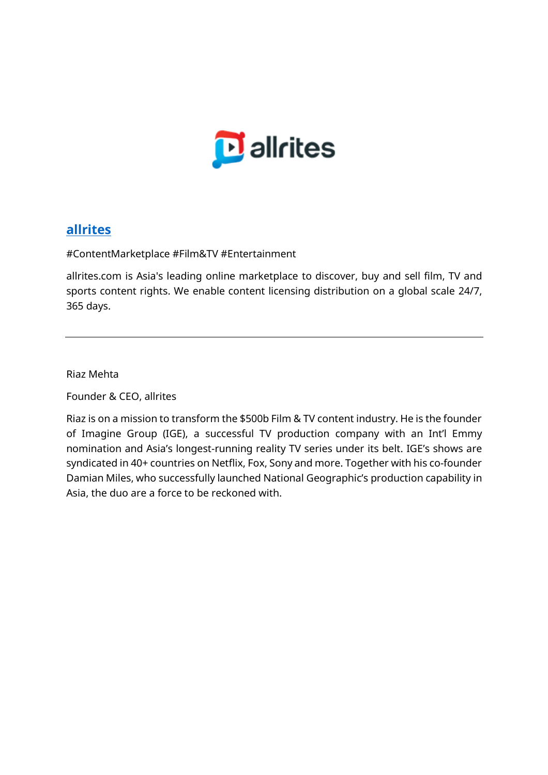

#### **allrites**

#ContentMarketplace #Film&TV #Entertainment

allrites.com is Asia's leading online marketplace to discover, buy and sell film, TV and sports content rights. We enable content licensing distribution on a global scale 24/7, 365 days.

Riaz Mehta

Founder & CEO, allrites

Riaz is on a mission to transform the \$500b Film & TV content industry. He is the founder of Imagine Group (IGE), a successful TV production company with an Int'l Emmy nomination and Asia's longest-running reality TV series under its belt. IGE's shows are syndicated in 40+ countries on Netflix, Fox, Sony and more. Together with his co-founder Damian Miles, who successfully launched National Geographic's production capability in Asia, the duo are a force to be reckoned with.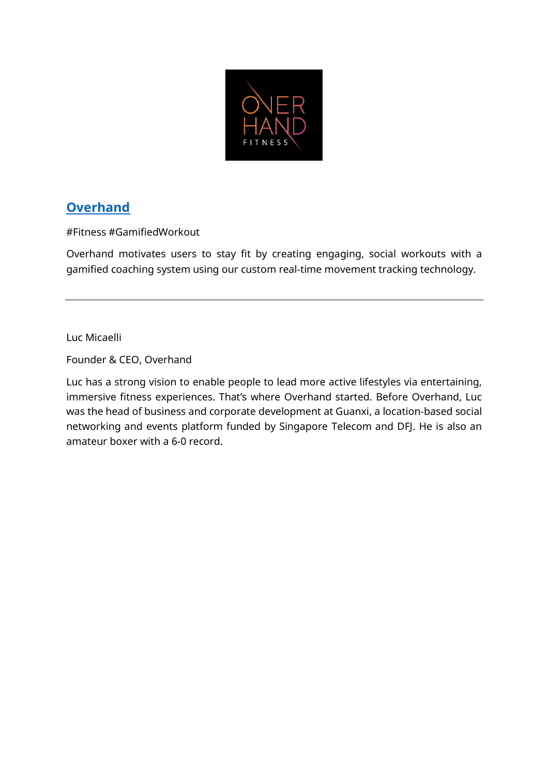

# **Overhand**

#Fitness #GamifiedWorkout

Overhand motivates users to stay fit by creating engaging, social workouts with a gamified coaching system using our custom real-time movement tracking technology.

Luc Micaelli

Founder & CEO, Overhand

Luc has a strong vision to enable people to lead more active lifestyles via entertaining, immersive fitness experiences. That's where Overhand started. Before Overhand, Luc was the head of business and corporate development at Guanxi, a location-based social networking and events platform funded by Singapore Telecom and DFJ. He is also an amateur boxer with a 6-0 record.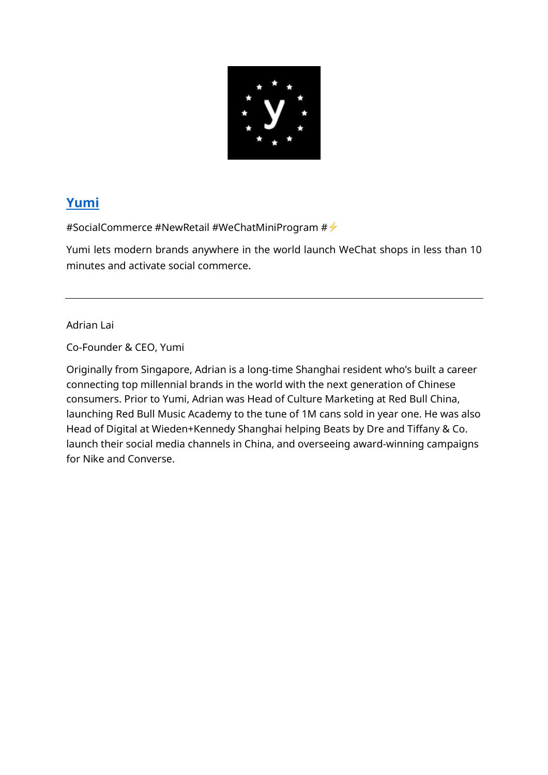

# **Yumi**

#SocialCommerce #NewRetail #WeChatMiniProgram  $\#\#$ 

Yumi lets modern brands anywhere in the world launch WeChat shops in less than 10 minutes and activate social commerce.

Adrian Lai

Co-Founder & CEO, Yumi

Originally from Singapore, Adrian is a long-time Shanghai resident who's built a career connecting top millennial brands in the world with the next generation of Chinese consumers. Prior to Yumi, Adrian was Head of Culture Marketing at Red Bull China, launching Red Bull Music Academy to the tune of 1M cans sold in year one. He was also Head of Digital at Wieden+Kennedy Shanghai helping Beats by Dre and Tiffany & Co. launch their social media channels in China, and overseeing award-winning campaigns for Nike and Converse.